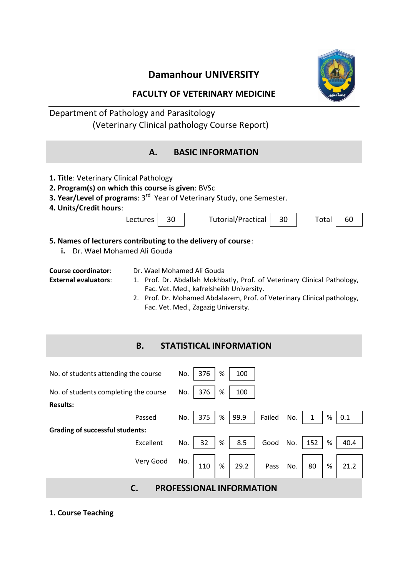# **Damanhour UNIVERSITY**



### **FACULTY OF VETERINARY MEDICINE**

# Department of Pathology and Parasitology (Veterinary Clinical pathology Course Report)

| <b>BASIC INFORMATION</b><br>Α.                                                                                                                                                                                                                                                                                             |  |  |  |  |
|----------------------------------------------------------------------------------------------------------------------------------------------------------------------------------------------------------------------------------------------------------------------------------------------------------------------------|--|--|--|--|
| 1. Title: Veterinary Clinical Pathology<br>2. Program(s) on which this course is given: BVSc<br>3. Year/Level of programs: 3 <sup>rd</sup> Year of Veterinary Study, one Semester.<br>4. Units/Credit hours:<br><b>Tutorial/Practical</b><br>Lectures<br>30<br>30<br>Total<br>60                                           |  |  |  |  |
| 5. Names of lecturers contributing to the delivery of course:<br>Dr. Wael Mohamed Ali Gouda<br>i.                                                                                                                                                                                                                          |  |  |  |  |
| Course coordinator:<br>Dr. Wael Mohamed Ali Gouda<br><b>External evaluators:</b><br>1. Prof. Dr. Abdallah Mokhbatly, Prof. of Veterinary Clinical Pathology,<br>Fac. Vet. Med., kafrelsheikh University.<br>2. Prof. Dr. Mohamed Abdalazem, Prof. of Veterinary Clinical pathology,<br>Fac. Vet. Med., Zagazig University. |  |  |  |  |
| <b>B.</b><br><b>STATISTICAL INFORMATION</b>                                                                                                                                                                                                                                                                                |  |  |  |  |
| No. of students attending the course<br>No.<br>376<br>%<br>100                                                                                                                                                                                                                                                             |  |  |  |  |
| 376<br>%<br>No. of students completing the course<br>No.<br>100<br><b>Results:</b>                                                                                                                                                                                                                                         |  |  |  |  |
| No.<br>375<br>%<br>99.9<br>Failed<br>No.<br>$\%$<br>0.1<br>Passed<br>1                                                                                                                                                                                                                                                     |  |  |  |  |
| <b>Grading of successful students:</b><br>Excellent<br>32<br>%<br>8.5<br>152<br>$\%$<br>40.4<br>No.<br>Good<br>No.                                                                                                                                                                                                         |  |  |  |  |
| Very Good<br>No.<br>%<br>29.2<br>%<br>110<br>No.<br>80<br>21.2<br><b>Pass</b>                                                                                                                                                                                                                                              |  |  |  |  |
| C.<br><b>PROFESSIONAL INFORMATION</b>                                                                                                                                                                                                                                                                                      |  |  |  |  |

**1. Course Teaching**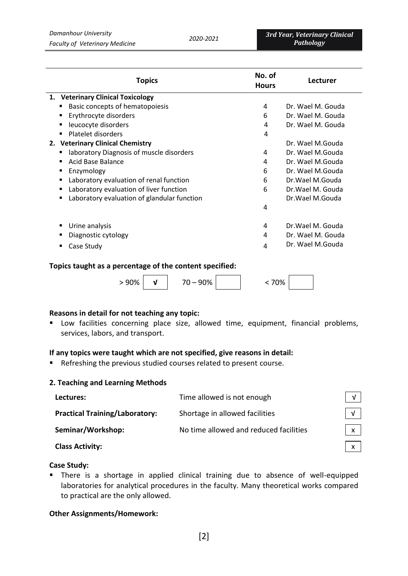| <b>Topics</b>                                           | No. of<br><b>Hours</b> | Lecturer          |
|---------------------------------------------------------|------------------------|-------------------|
| 1. Veterinary Clinical Toxicology                       |                        |                   |
| Basic concepts of hematopoiesis                         | 4                      | Dr. Wael M. Gouda |
| Erythrocyte disorders<br>п                              | 6                      | Dr. Wael M. Gouda |
| leucocyte disorders<br>п                                | 4                      | Dr. Wael M. Gouda |
| Platelet disorders<br>$\blacksquare$                    | 4                      |                   |
| 2. Veterinary Clinical Chemistry                        |                        | Dr. Wael M.Gouda  |
| laboratory Diagnosis of muscle disorders<br>п           | 4                      | Dr. Wael M.Gouda  |
| Acid Base Balance<br>п                                  | 4                      | Dr. Wael M.Gouda  |
| Enzymology<br>٠                                         | 6                      | Dr. Wael M.Gouda  |
| Laboratory evaluation of renal function<br>٠            | 6                      | Dr.Wael M.Gouda   |
| Laboratory evaluation of liver function<br>п            | 6                      | Dr. Wael M. Gouda |
| Laboratory evaluation of glandular function<br>п        |                        | Dr. Wael M. Gouda |
|                                                         | 4                      |                   |
| Urine analysis<br>п                                     | 4                      | Dr.Wael M. Gouda  |
| Diagnostic cytology                                     | 4                      | Dr. Wael M. Gouda |
| Case Study<br>п                                         | 4                      | Dr. Wael M.Gouda  |
| Tonics taught as a norsontago of the sontont specified: |                        |                   |

#### **Topics taught as a percentage of the content specified:**

> 90% **√** 70 – 90% < 70%

#### **Reasons in detail for not teaching any topic:**

 Low facilities concerning place size, allowed time, equipment, financial problems, services, labors, and transport.

### **If any topics were taught which are not specified, give reasons in detail:**

Refreshing the previous studied courses related to present course.

#### **2. Teaching and Learning Methods**

| Lectures:                             | Time allowed is not enough             |              |
|---------------------------------------|----------------------------------------|--------------|
| <b>Practical Training/Laboratory:</b> | Shortage in allowed facilities         | $\sqrt{ }$   |
| Seminar/Workshop:                     | No time allowed and reduced facilities | $\mathbf{x}$ |
| <b>Class Activity:</b>                |                                        |              |

#### **Case Study:**

 There is a shortage in applied clinical training due to absence of well-equipped laboratories for analytical procedures in the faculty. Many theoretical works compared to practical are the only allowed.

#### **Other Assignments/Homework:**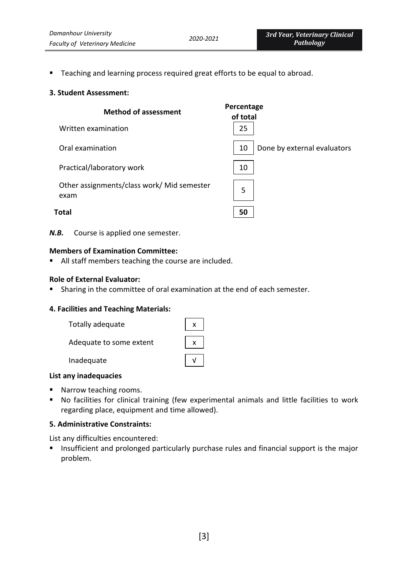**Teaching and learning process required great efforts to be equal to abroad.** 

#### **3. Student Assessment:**

| <b>Method of assessment</b>                        | Percentage<br>of total            |
|----------------------------------------------------|-----------------------------------|
| Written examination                                | 25                                |
| Oral examination                                   | Done by external evaluators<br>10 |
| Practical/laboratory work                          | 10                                |
| Other assignments/class work/ Mid semester<br>exam | 5                                 |
| Total                                              | 50                                |

*N.B.* Course is applied one semester.

#### **Members of Examination Committee:**

All staff members teaching the course are included.

#### **Role of External Evaluator:**

Sharing in the committee of oral examination at the end of each semester.

#### **4. Facilities and Teaching Materials:**

| Totally adequate        |  |
|-------------------------|--|
| Adequate to some extent |  |
| Inadequate              |  |

#### **List any inadequacies**

- Narrow teaching rooms.
- No facilities for clinical training (few experimental animals and little facilities to work regarding place, equipment and time allowed).

#### **5. Administrative Constraints:**

List any difficulties encountered:

**Insufficient and prolonged particularly purchase rules and financial support is the major** problem.